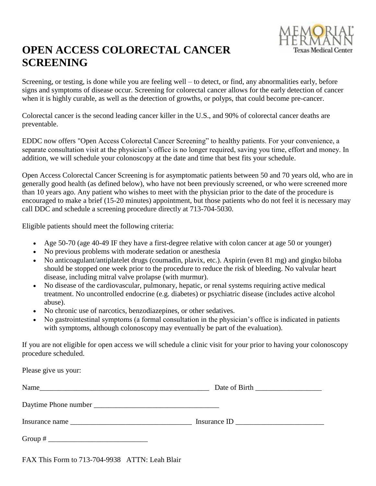

## **OPEN ACCESS COLORECTAL CANCER SCREENING**

Screening, or testing, is done while you are feeling well – to detect, or find, any abnormalities early, before signs and symptoms of disease occur. Screening for colorectal cancer allows for the early detection of cancer when it is highly curable, as well as the detection of growths, or polyps, that could become pre-cancer.

Colorectal cancer is the second leading cancer killer in the U.S., and 90% of colorectal cancer deaths are preventable.

EDDC now offers "Open Access Colorectal Cancer Screening" to healthy patients. For your convenience, a separate consultation visit at the physician's office is no longer required, saving you time, effort and money. In addition, we will schedule your colonoscopy at the date and time that best fits your schedule.

Open Access Colorectal Cancer Screening is for asymptomatic patients between 50 and 70 years old, who are in generally good health (as defined below), who have not been previously screened, or who were screened more than 10 years ago. Any patient who wishes to meet with the physician prior to the date of the procedure is encouraged to make a brief (15-20 minutes) appointment, but those patients who do not feel it is necessary may call DDC and schedule a screening procedure directly at 713-704-5030.

Eligible patients should meet the following criteria:

- Age 50-70 (age 40-49 IF they have a first-degree relative with colon cancer at age 50 or younger)
- No previous problems with moderate sedation or anesthesia
- No anticoagulant/antiplatelet drugs (coumadin, plavix, etc.). Aspirin (even 81 mg) and gingko biloba should be stopped one week prior to the procedure to reduce the risk of bleeding. No valvular heart disease, including mitral valve prolapse (with murmur).
- No disease of the cardiovascular, pulmonary, hepatic, or renal systems requiring active medical treatment. No uncontrolled endocrine (e.g. diabetes) or psychiatric disease (includes active alcohol abuse).
- No chronic use of narcotics, benzodiazepines, or other sedatives.
- No gastrointestinal symptoms (a formal consultation in the physician's office is indicated in patients with symptoms, although colonoscopy may eventually be part of the evaluation).

If you are not eligible for open access we will schedule a clinic visit for your prior to having your colonoscopy procedure scheduled.

| Please give us your: |               |
|----------------------|---------------|
| Name                 | Date of Birth |
|                      |               |
| Insurance name       |               |
|                      |               |

FAX This Form to 713-704-9938 ATTN: Leah Blair

Please give us your: